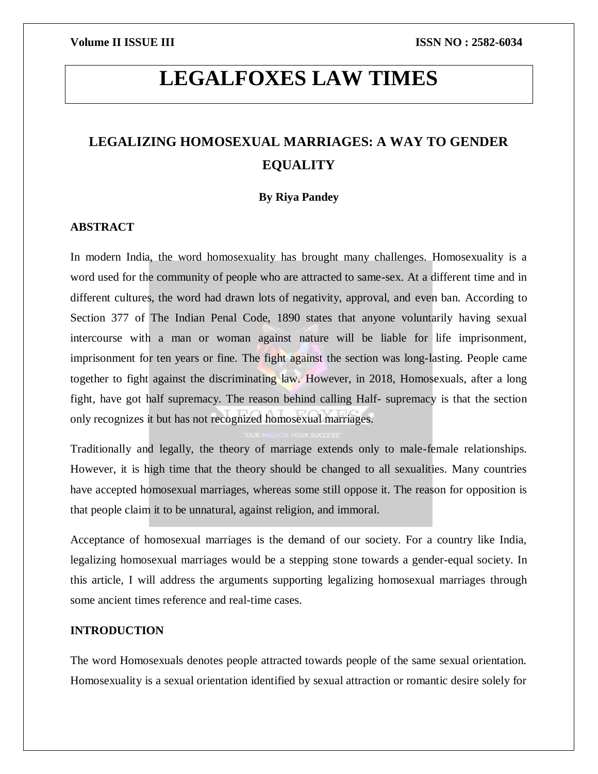# **LEGALFOXES LAW TIMES**

## **LEGALIZING HOMOSEXUAL MARRIAGES: A WAY TO GENDER EQUALITY**

### **By Riya Pandey**

### **ABSTRACT**

In modern India, the word homosexuality has brought many challenges. Homosexuality is a word used for the community of people who are attracted to same-sex. At a different time and in different cultures, the word had drawn lots of negativity, approval, and even ban. According to Section 377 of The Indian Penal Code, 1890 states that anyone voluntarily having sexual intercourse with a man or woman against nature will be liable for life imprisonment, imprisonment for ten years or fine. The fight against the section was long-lasting. People came together to fight against the discriminating law. However, in 2018, Homosexuals, after a long fight, have got half supremacy. The reason behind calling Half- supremacy is that the section only recognizes it but has not recognized homosexual marriages.

Traditionally and legally, the theory of marriage extends only to male-female relationships. However, it is high time that the theory should be changed to all sexualities. Many countries have accepted homosexual marriages, whereas some still oppose it. The reason for opposition is that people claim it to be unnatural, against religion, and immoral.

Acceptance of homosexual marriages is the demand of our society. For a country like India, legalizing homosexual marriages would be a stepping stone towards a gender-equal society. In this article, I will address the arguments supporting legalizing homosexual marriages through some ancient times reference and real-time cases.

### **INTRODUCTION**

The word Homosexuals denotes people attracted towards people of the same sexual orientation. Homosexuality is a sexual orientation identified by sexual attraction or romantic desire solely for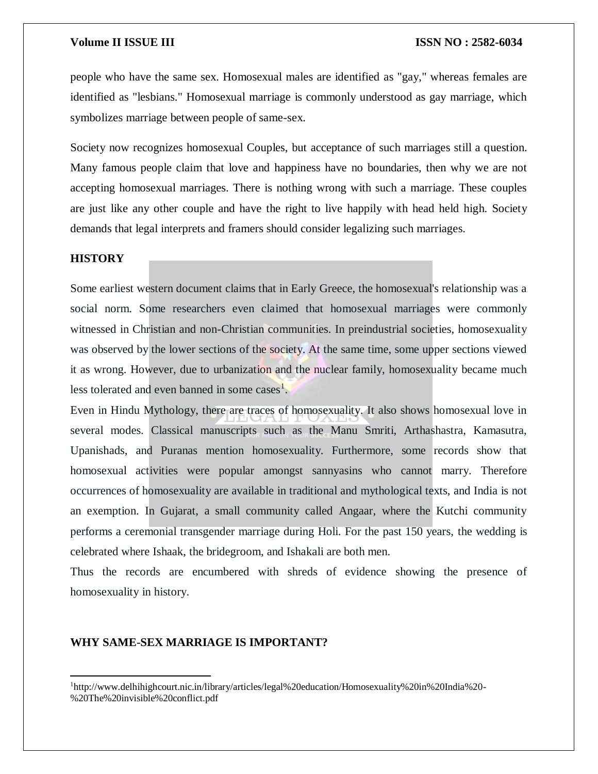people who have the same sex. Homosexual males are identified as "gay," whereas females are identified as "lesbians." Homosexual marriage is commonly understood as gay marriage, which symbolizes marriage between people of same-sex.

Society now recognizes homosexual Couples, but acceptance of such marriages still a question. Many famous people claim that love and happiness have no boundaries, then why we are not accepting homosexual marriages. There is nothing wrong with such a marriage. These couples are just like any other couple and have the right to live happily with head held high. Society demands that legal interprets and framers should consider legalizing such marriages.

### **HISTORY**

 $\overline{\phantom{a}}$ 

Some earliest western document claims that in Early Greece, the homosexual's relationship was a social norm. Some researchers even claimed that homosexual marriages were commonly witnessed in Christian and non-Christian communities. In preindustrial societies, homosexuality was observed by the lower sections of the society. At the same time, some upper sections viewed it as wrong. However, due to urbanization and the nuclear family, homosexuality became much less tolerated and even banned in some cases<sup>1</sup>.

Even in Hindu Mythology, there are traces of homosexuality. It also shows homosexual love in several modes. Classical manuscripts such as the Manu Smriti, Arthashastra, Kamasutra, Upanishads, and Puranas mention homosexuality. Furthermore, some records show that homosexual activities were popular amongst sannyasins who cannot marry. Therefore occurrences of homosexuality are available in traditional and mythological texts, and India is not an exemption. In Gujarat, a small community called Angaar, where the Kutchi community performs a ceremonial transgender marriage during Holi. For the past 150 years, the wedding is celebrated where Ishaak, the bridegroom, and Ishakali are both men.

Thus the records are encumbered with shreds of evidence showing the presence of homosexuality in history.

#### **WHY SAME-SEX MARRIAGE IS IMPORTANT?**

<sup>1</sup>http://www.delhihighcourt.nic.in/library/articles/legal%20education/Homosexuality%20in%20India%20- %20The%20invisible%20conflict.pdf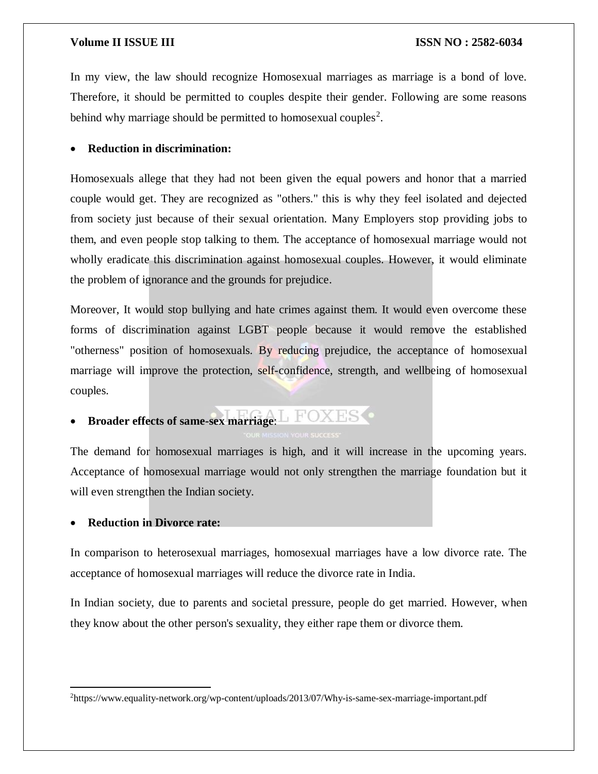In my view, the law should recognize Homosexual marriages as marriage is a bond of love. Therefore, it should be permitted to couples despite their gender. Following are some reasons behind why marriage should be permitted to homosexual couples<sup>2</sup>.

#### **Reduction in discrimination:**

Homosexuals allege that they had not been given the equal powers and honor that a married couple would get. They are recognized as "others." this is why they feel isolated and dejected from society just because of their sexual orientation. Many Employers stop providing jobs to them, and even people stop talking to them. The acceptance of homosexual marriage would not wholly eradicate this discrimination against homosexual couples. However, it would eliminate the problem of ignorance and the grounds for prejudice.

Moreover, It would stop bullying and hate crimes against them. It would even overcome these forms of discrimination against LGBT people because it would remove the established "otherness" position of homosexuals. By reducing prejudice, the acceptance of homosexual marriage will improve the protection, self-confidence, strength, and wellbeing of homosexual couples.

## **Broader effects of same-sex marriage**:

The demand for homosexual marriages is high, and it will increase in the upcoming years. Acceptance of homosexual marriage would not only strengthen the marriage foundation but it will even strengthen the Indian society.

### **Reduction in Divorce rate:**

 $\overline{a}$ 

In comparison to heterosexual marriages, homosexual marriages have a low divorce rate. The acceptance of homosexual marriages will reduce the divorce rate in India.

In Indian society, due to parents and societal pressure, people do get married. However, when they know about the other person's sexuality, they either rape them or divorce them.

<sup>2</sup>https://www.equality-network.org/wp-content/uploads/2013/07/Why-is-same-sex-marriage-important.pdf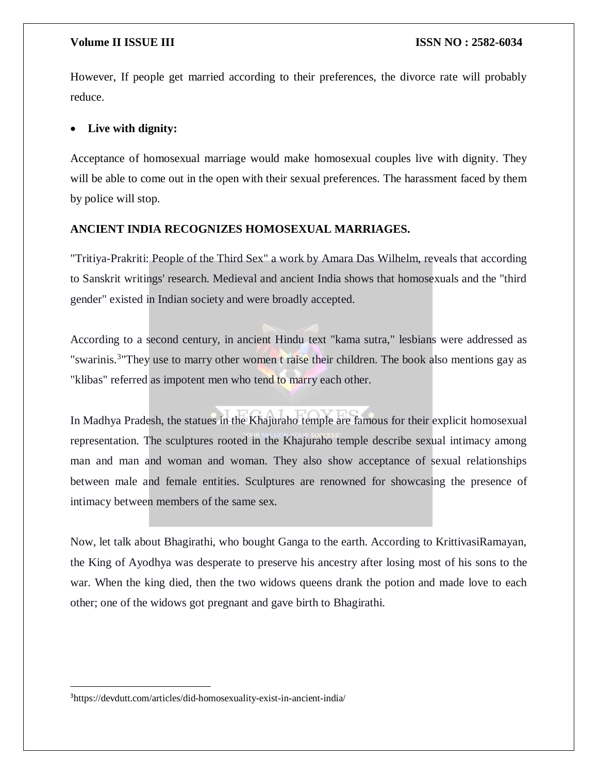However, If people get married according to their preferences, the divorce rate will probably reduce.

#### **Live with dignity:**

Acceptance of homosexual marriage would make homosexual couples live with dignity. They will be able to come out in the open with their sexual preferences. The harassment faced by them by police will stop.

#### **ANCIENT INDIA RECOGNIZES HOMOSEXUAL MARRIAGES.**

"Tritiya-Prakriti: People of the Third Sex" a work by Amara Das Wilhelm, reveals that according to Sanskrit writings' research. Medieval and ancient India shows that homosexuals and the "third gender" existed in Indian society and were broadly accepted.

According to a second century, in ancient Hindu text "kama sutra," lesbians were addressed as "swarinis.<sup>3</sup>"They use to marry other women t raise their children. The book also mentions gay as "klibas" referred as impotent men who tend to marry each other.

In Madhya Pradesh, the statues in the Khajuraho temple are famous for their explicit homosexual representation. The sculptures rooted in the Khajuraho temple describe sexual intimacy among man and man and woman and woman. They also show acceptance of sexual relationships between male and female entities. Sculptures are renowned for showcasing the presence of intimacy between members of the same sex.

Now, let talk about Bhagirathi, who bought Ganga to the earth. According to KrittivasiRamayan, the King of Ayodhya was desperate to preserve his ancestry after losing most of his sons to the war. When the king died, then the two widows queens drank the potion and made love to each other; one of the widows got pregnant and gave birth to Bhagirathi.

3https://devdutt.com/articles/did-homosexuality-exist-in-ancient-india/

 $\overline{a}$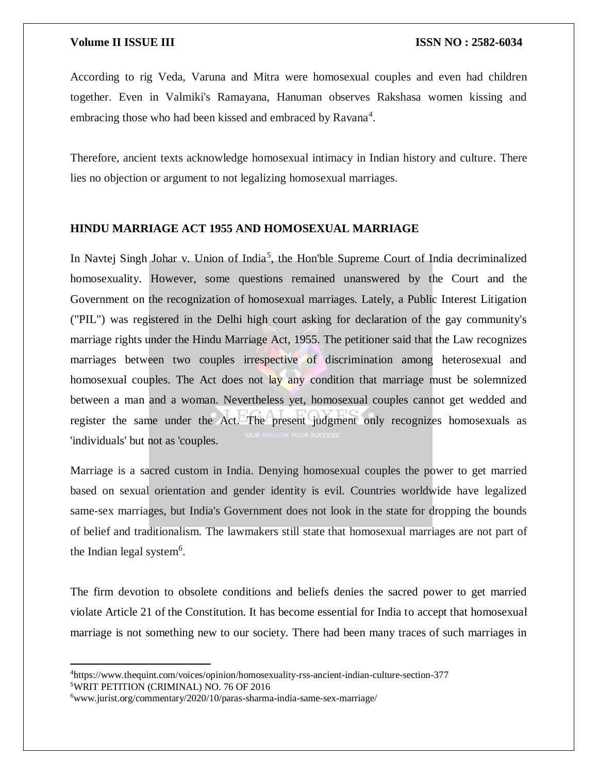According to rig Veda, Varuna and Mitra were homosexual couples and even had children together. Even in Valmiki's Ramayana, Hanuman observes Rakshasa women kissing and embracing those who had been kissed and embraced by Ravana<sup>4</sup>.

Therefore, ancient texts acknowledge homosexual intimacy in Indian history and culture. There lies no objection or argument to not legalizing homosexual marriages.

#### **HINDU MARRIAGE ACT 1955 AND HOMOSEXUAL MARRIAGE**

In Navtej Singh Johar v. Union of India<sup>5</sup>, the Hon'ble Supreme Court of India decriminalized homosexuality. However, some questions remained unanswered by the Court and the Government on the recognization of homosexual marriages. Lately, a Public Interest Litigation ("PIL") was registered in the Delhi high court asking for declaration of the gay community's marriage rights under the Hindu Marriage Act, 1955. The petitioner said that the Law recognizes marriages between two couples irrespective of discrimination among heterosexual and homosexual couples. The Act does not lay any condition that marriage must be solemnized between a man and a woman. Nevertheless yet, homosexual couples cannot get wedded and register the same under the Act. The present judgment only recognizes homosexuals as 'individuals' but not as 'couples.

Marriage is a sacred custom in India. Denying homosexual couples the power to get married based on sexual orientation and gender identity is evil. Countries worldwide have legalized same-sex marriages, but India's Government does not look in the state for dropping the bounds of belief and traditionalism. The lawmakers still state that homosexual marriages are not part of the Indian legal system<sup>6</sup>.

The firm devotion to obsolete conditions and beliefs denies the sacred power to get married violate Article 21 of the Constitution. It has become essential for India to accept that homosexual marriage is not something new to our society. There had been many traces of such marriages in

 $\overline{a}$ 

<sup>4</sup>https://www.thequint.com/voices/opinion/homosexuality-rss-ancient-indian-culture-section-377 <sup>5</sup>WRIT PETITION (CRIMINAL) NO. 76 OF 2016

<sup>6</sup>www.jurist.org/commentary/2020/10/paras-sharma-india-same-sex-marriage/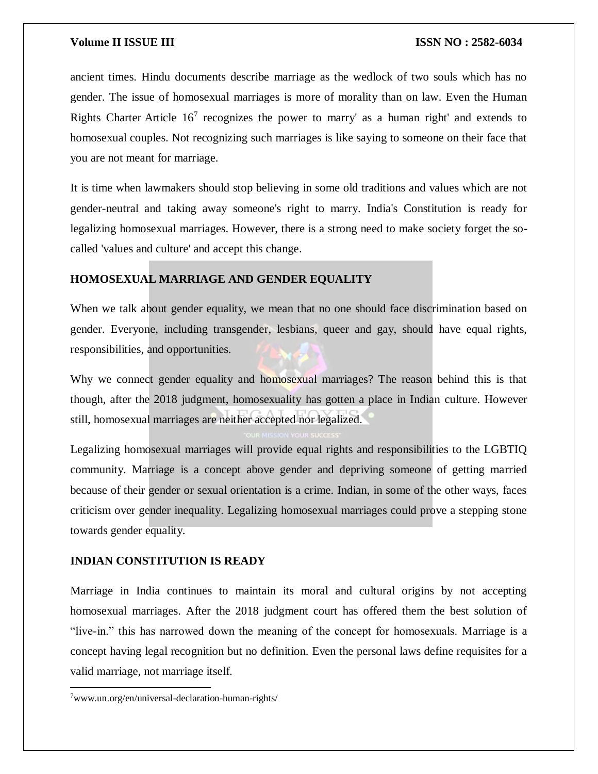ancient times. Hindu documents describe marriage as the wedlock of two souls which has no gender. The issue of homosexual marriages is more of morality than on law. Even the Human Rights Charter Article  $16<sup>7</sup>$  recognizes the power to marry' as a human right' and extends to homosexual couples. Not recognizing such marriages is like saying to someone on their face that you are not meant for marriage.

It is time when lawmakers should stop believing in some old traditions and values which are not gender-neutral and taking away someone's right to marry. India's Constitution is ready for legalizing homosexual marriages. However, there is a strong need to make society forget the socalled 'values and culture' and accept this change.

#### **HOMOSEXUAL MARRIAGE AND GENDER EQUALITY**

When we talk about gender equality, we mean that no one should face discrimination based on gender. Everyone, including transgender, lesbians, queer and gay, should have equal rights, responsibilities, and opportunities.

Why we connect gender equality and homosexual marriages? The reason behind this is that though, after the 2018 judgment, homosexuality has gotten a place in Indian culture. However still, homosexual marriages are neither accepted nor legalized.

Legalizing homosexual marriages will provide equal rights and responsibilities to the LGBTIQ community. Marriage is a concept above gender and depriving someone of getting married because of their gender or sexual orientation is a crime. Indian, in some of the other ways, faces criticism over gender inequality. Legalizing homosexual marriages could prove a stepping stone towards gender equality.

#### **INDIAN CONSTITUTION IS READY**

Marriage in India continues to maintain its moral and cultural origins by not accepting homosexual marriages. After the 2018 judgment court has offered them the best solution of "live-in." this has narrowed down the meaning of the concept for homosexuals. Marriage is a concept having legal recognition but no definition. Even the personal laws define requisites for a valid marriage, not marriage itself.

 $\overline{a}$ 

<sup>7</sup>www.un.org/en/universal-declaration-human-rights/